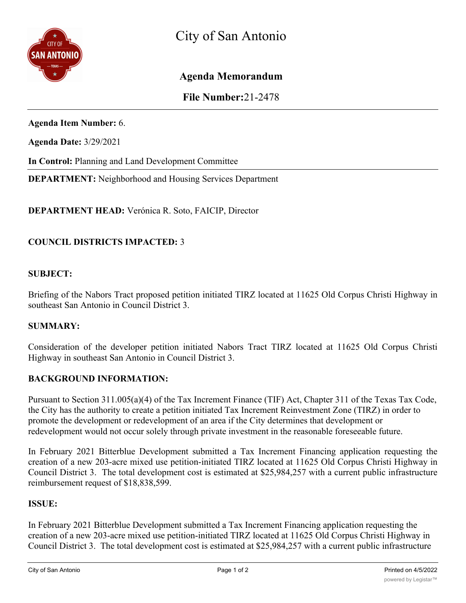

# **Agenda Memorandum**

**File Number:**21-2478

**Agenda Item Number:** 6.

**Agenda Date:** 3/29/2021

**In Control:** Planning and Land Development Committee

**DEPARTMENT:** Neighborhood and Housing Services Department

**DEPARTMENT HEAD:** Verónica R. Soto, FAICIP, Director

## **COUNCIL DISTRICTS IMPACTED:** 3

#### **SUBJECT:**

Briefing of the Nabors Tract proposed petition initiated TIRZ located at 11625 Old Corpus Christi Highway in southeast San Antonio in Council District 3.

#### **SUMMARY:**

Consideration of the developer petition initiated Nabors Tract TIRZ located at 11625 Old Corpus Christi Highway in southeast San Antonio in Council District 3.

#### **BACKGROUND INFORMATION:**

Pursuant to Section 311.005(a)(4) of the Tax Increment Finance (TIF) Act, Chapter 311 of the Texas Tax Code, the City has the authority to create a petition initiated Tax Increment Reinvestment Zone (TIRZ) in order to promote the development or redevelopment of an area if the City determines that development or redevelopment would not occur solely through private investment in the reasonable foreseeable future.

In February 2021 Bitterblue Development submitted a Tax Increment Financing application requesting the creation of a new 203-acre mixed use petition-initiated TIRZ located at 11625 Old Corpus Christi Highway in Council District 3. The total development cost is estimated at \$25,984,257 with a current public infrastructure reimbursement request of \$18,838,599.

## **ISSUE:**

In February 2021 Bitterblue Development submitted a Tax Increment Financing application requesting the creation of a new 203-acre mixed use petition-initiated TIRZ located at 11625 Old Corpus Christi Highway in Council District 3. The total development cost is estimated at \$25,984,257 with a current public infrastructure